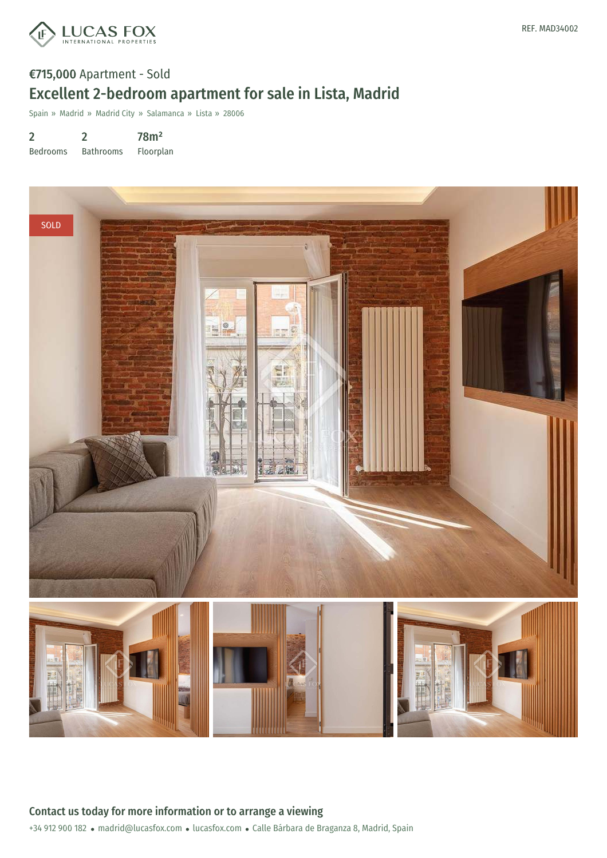

### €715,000 Apartment - Sold Excellent 2-bedroom apartment for sale in Lista, Madrid

Spain » Madrid » Madrid City » Salamanca » Lista » 28006

2 Bedrooms 2 Bathrooms 78m² Floorplan

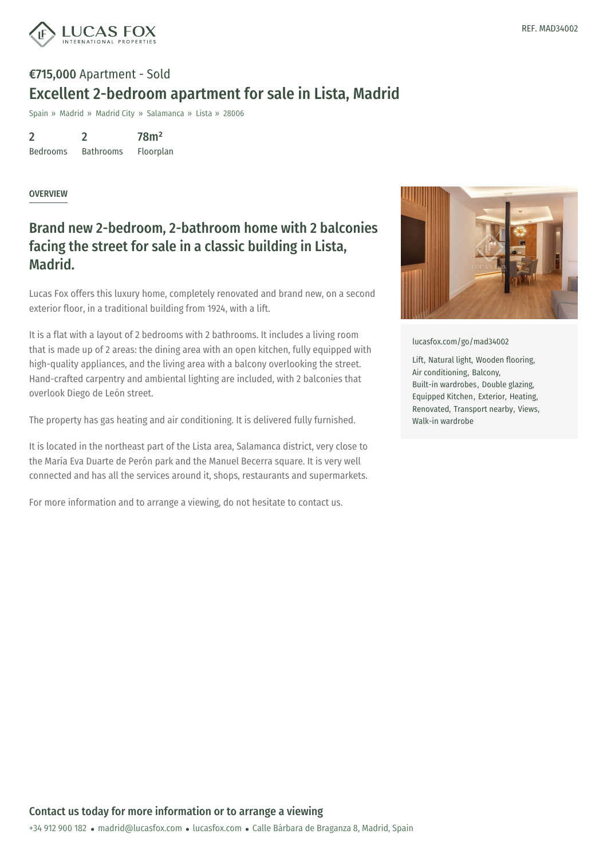

# €715,000 Apartment - Sold Excellent 2-bedroom apartment for sale in Lista, Madrid

Spain » Madrid » Madrid City » Salamanca » Lista » 28006

2 Bedrooms 2 Bathrooms 78m² Floorplan

#### **OVERVIEW**

### Brand new 2-bedroom, 2-bathroom home with 2 balconies facing the street for sale in a classic building in Lista, Madrid.

Lucas Fox offers this luxury home, completely renovated and brand new, on a second exterior floor, in a traditional building from 1924, with a lift.

It is a flat with a layout of 2 bedrooms with 2 bathrooms. It includes a living room that is made up of 2 areas: the dining area with an open kitchen, fully equipped with high-quality appliances, and the living area with a balcony overlooking the street. Hand-crafted carpentry and ambiental lighting are included, with 2 balconies that overlook Diego de León street.

The property has gas heating and air conditioning. It is delivered fully furnished.

It is located in the northeast part of the Lista area, Salamanca district, very close to the María Eva Duarte de Perón park and the Manuel Becerra square. It is very well connected and has all the services around it, shops, restaurants and supermarkets.

For more information and to arrange a viewing, do not hesitate to contact us.



[lucasfox.com/go/mad34002](https://www.lucasfox.com/go/mad34002)

Lift, Natural light, Wooden flooring, Air conditioning, Balcony, Built-in wardrobes, Double glazing, Equipped Kitchen, Exterior, Heating, Renovated, Transport nearby, Views, Walk-in wardrobe